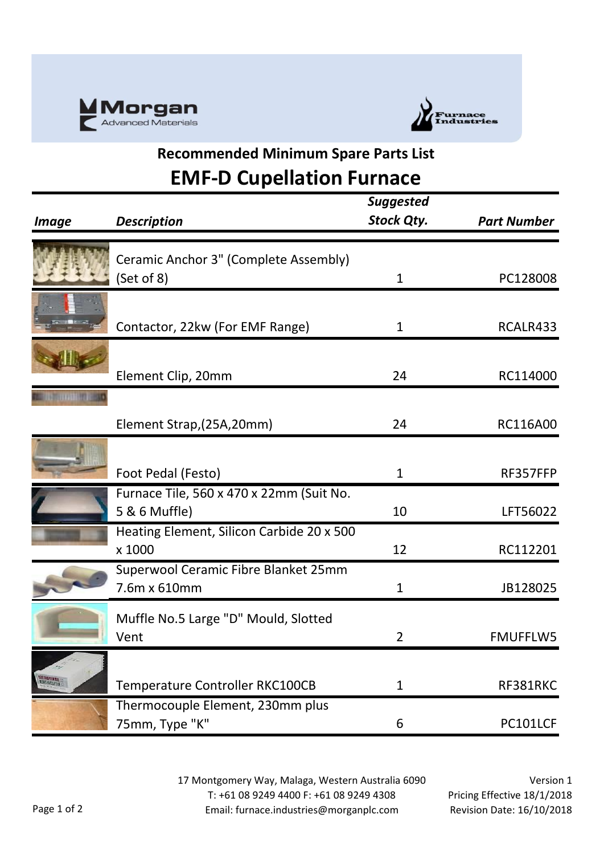



## **Recommended Minimum Spare Parts List**

## **EMF-D Cupellation Furnace**

| <i>Image</i> | <b>Description</b>                                        | <b>Suggested</b><br>Stock Qty. | <b>Part Number</b> |
|--------------|-----------------------------------------------------------|--------------------------------|--------------------|
|              | Ceramic Anchor 3" (Complete Assembly)<br>(Set of 8)       | $\mathbf 1$                    | PC128008           |
|              | Contactor, 22kw (For EMF Range)                           | 1                              | RCALR433           |
|              | Element Clip, 20mm                                        | 24                             | RC114000           |
|              | Element Strap, (25A, 20mm)                                | 24                             | RC116A00           |
|              | Foot Pedal (Festo)                                        | 1                              | RF357FFP           |
|              | Furnace Tile, 560 x 470 x 22mm (Suit No.<br>5 & 6 Muffle) | 10                             | LFT56022           |
|              | Heating Element, Silicon Carbide 20 x 500<br>x 1000       | 12                             | RC112201           |
|              | Superwool Ceramic Fibre Blanket 25mm<br>7.6m x 610mm      | $\mathbf{1}$                   | JB128025           |
|              | Muffle No.5 Large "D" Mould, Slotted<br>Vent              | $\overline{2}$                 | <b>FMUFFLW5</b>    |
| ang u        | Temperature Controller RKC100CB                           | $\mathbf 1$                    | RF381RKC           |
|              | Thermocouple Element, 230mm plus<br>75mm, Type "K"        | 6                              | PC101LCF           |

17 Montgomery Way, Malaga, Western Australia 6090 T: +61 08 9249 4400 F: +61 08 9249 4308 Email: furnace.industries@morganplc.com

Version 1 Pricing Effective 18/1/2018 Revision Date: 16/10/2018